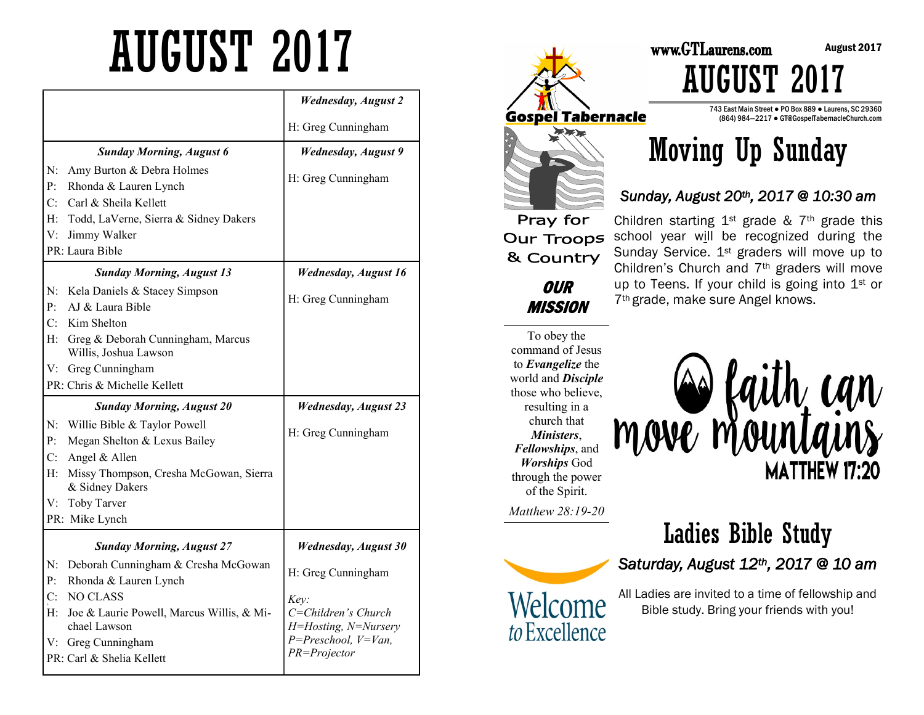# AUGUST 2017

|                |                                                               | <b>Wednesday, August 2</b>                  |
|----------------|---------------------------------------------------------------|---------------------------------------------|
|                |                                                               | H: Greg Cunningham                          |
|                | <b>Sunday Morning, August 6</b>                               | <b>Wednesday</b> , August 9                 |
| N:<br>P:       | Amy Burton & Debra Holmes<br>Rhonda & Lauren Lynch            | H: Greg Cunningham                          |
|                | C: Carl & Sheila Kellett                                      |                                             |
| H:             | Todd, LaVerne, Sierra & Sidney Dakers                         |                                             |
| V:             | Jimmy Walker                                                  |                                             |
|                | PR: Laura Bible                                               |                                             |
|                | <b>Sunday Morning, August 13</b>                              | <b>Wednesday, August 16</b>                 |
| N:<br>P:       | Kela Daniels & Stacey Simpson<br>AJ & Laura Bible             | H: Greg Cunningham                          |
| C <sub>i</sub> | Kim Shelton                                                   |                                             |
|                | H: Greg & Deborah Cunningham, Marcus<br>Willis, Joshua Lawson |                                             |
|                | V: Greg Cunningham                                            |                                             |
|                | PR: Chris & Michelle Kellett                                  |                                             |
|                | <b>Sunday Morning, August 20</b>                              | <b>Wednesday</b> , August 23                |
| N:             | Willie Bible & Taylor Powell                                  |                                             |
| P:             | Megan Shelton & Lexus Bailey                                  | H: Greg Cunningham                          |
| C:             | Angel & Allen                                                 |                                             |
| Н:             | Missy Thompson, Cresha McGowan, Sierra<br>& Sidney Dakers     |                                             |
|                | V: Toby Tarver                                                |                                             |
|                | PR: Mike Lynch                                                |                                             |
|                | <b>Sunday Morning, August 27</b>                              | <b>Wednesday, August 30</b>                 |
| N:             | Deborah Cunningham & Cresha McGowan                           |                                             |
| $\mathbf{p}$ . | Rhonda & Lauren Lynch                                         | H: Greg Cunningham                          |
| C <sub>i</sub> | NO CLASS                                                      | Key:                                        |
| $H$ :          | Joe & Laurie Powell, Marcus Willis, & Mi-<br>chael Lawson     | C=Children's Church<br>H=Hosting, N=Nursery |
|                | V: Greg Cunningham                                            | $P = Preschool, V=Van,$                     |
|                | PR: Carl & Shelia Kellett                                     | PR=Projector                                |



## Moving Up Sunday

#### *Sunday, August 20th, 2017 @ 10:30 am*

Children's Church and 7th graders will move up to Teens. If your child is going into 1st or

7th grade, make sure Angel knows.

& Country

**OUR MISSION** 

To obey the command of Jesus to *Evangelize* the world and *Disciple*  those who believe, resulting in a church that *Ministers*, *Fellowships*, and *Worships* God through the power of the Spirit.

*Matthew 28:19-20* 



*Saturday, August 12th, 2017 @ 10 am* 

Ladies Bible Study

move mountains

**MATTHEW 17:20** 

All Ladies are invited to a time of fellowship and Bible study. Bring your friends with you!



AUGUST 2017

743 East Main Street ● PO Box 889 ● Laurens, SC 29360 (864) 984—2217 ● GT@GospelTabernacleChurch.com